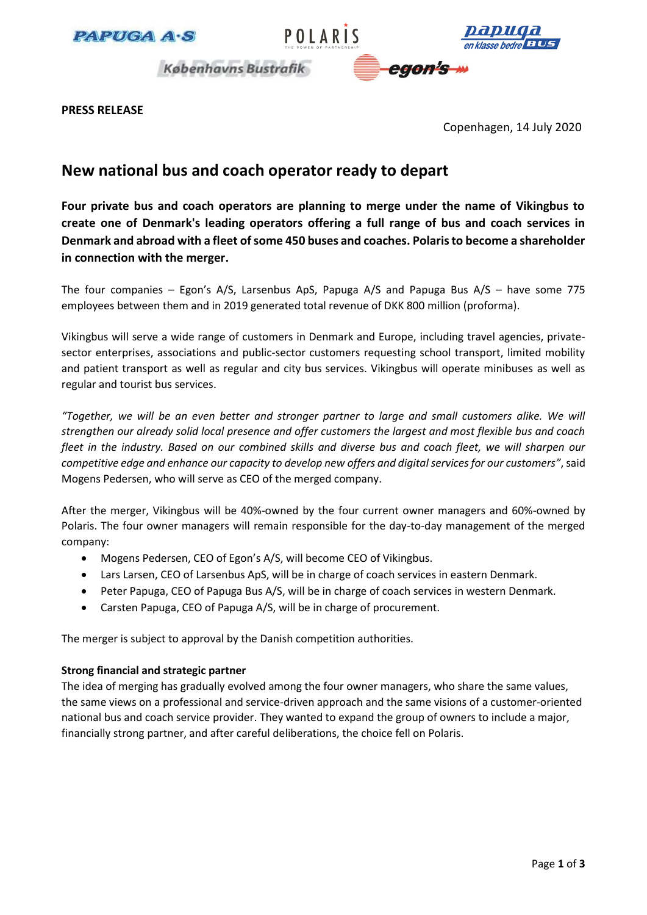





**Københavns Bustrafik** 



**PRESS RELEASE**

Copenhagen, 14 July 2020

# **New national bus and coach operator ready to depart**

**Four private bus and coach operators are planning to merge under the name of Vikingbus to create one of Denmark's leading operators offering a full range of bus and coach services in Denmark and abroad with a fleet of some 450 buses and coaches. Polaris to become a shareholder in connection with the merger.** 

The four companies – Egon's A/S, Larsenbus ApS, Papuga A/S and Papuga Bus A/S – have some 775 employees between them and in 2019 generated total revenue of DKK 800 million (proforma).

Vikingbus will serve a wide range of customers in Denmark and Europe, including travel agencies, privatesector enterprises, associations and public-sector customers requesting school transport, limited mobility and patient transport as well as regular and city bus services. Vikingbus will operate minibuses as well as regular and tourist bus services.

*"Together, we will be an even better and stronger partner to large and small customers alike. We will strengthen our already solid local presence and offer customers the largest and most flexible bus and coach fleet in the industry. Based on our combined skills and diverse bus and coach fleet, we will sharpen our competitive edge and enhance our capacity to develop new offers and digital services for our customers"*, said Mogens Pedersen, who will serve as CEO of the merged company.

After the merger, Vikingbus will be 40%-owned by the four current owner managers and 60%-owned by Polaris. The four owner managers will remain responsible for the day-to-day management of the merged company:

- Mogens Pedersen, CEO of Egon's A/S, will become CEO of Vikingbus.
- Lars Larsen, CEO of Larsenbus ApS, will be in charge of coach services in eastern Denmark.
- Peter Papuga, CEO of Papuga Bus A/S, will be in charge of coach services in western Denmark.
- Carsten Papuga, CEO of Papuga A/S, will be in charge of procurement.

The merger is subject to approval by the Danish competition authorities.

# **Strong financial and strategic partner**

The idea of merging has gradually evolved among the four owner managers, who share the same values, the same views on a professional and service-driven approach and the same visions of a customer-oriented national bus and coach service provider. They wanted to expand the group of owners to include a major, financially strong partner, and after careful deliberations, the choice fell on Polaris.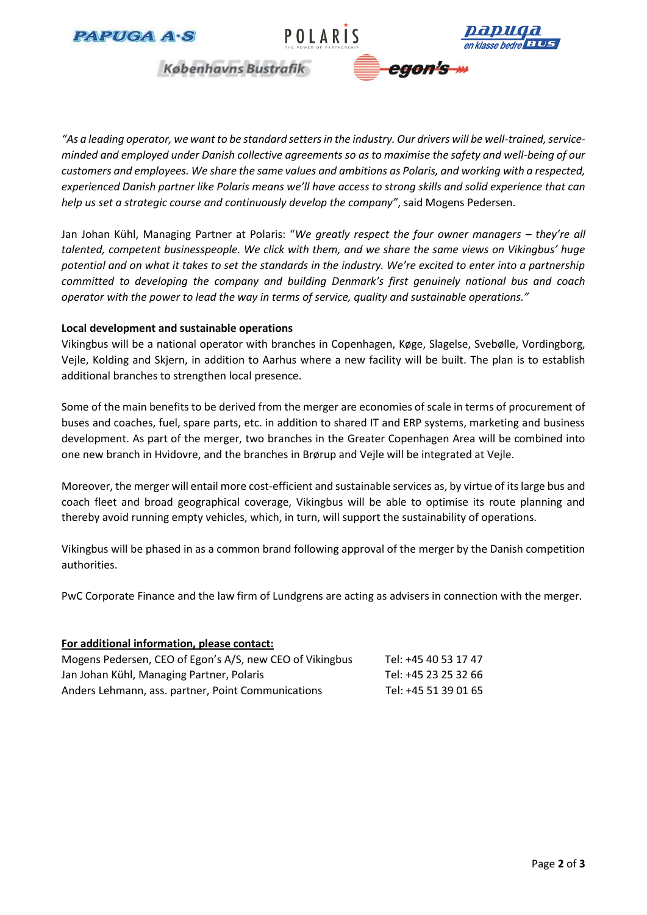





egon's

**Københavns Bustrafik** 

"As a leading operator, we want to be standard setters in the industry. Our drivers will be well-trained, service*minded and employed under Danish collective agreements so as to maximise the safety and well-being of our customers and employees. We share the same values and ambitions as Polaris, and working with a respected, experienced Danish partner like Polaris means we'll have access to strong skills and solid experience that can help us set a strategic course and continuously develop the company"*, said Mogens Pedersen.

Jan Johan Kühl, Managing Partner at Polaris: "*We greatly respect the four owner managers – they're all talented, competent businesspeople. We click with them, and we share the same views on Vikingbus' huge potential and on what it takes to set the standards in the industry. We're excited to enter into a partnership committed to developing the company and building Denmark's first genuinely national bus and coach operator with the power to lead the way in terms of service, quality and sustainable operations."* 

# **Local development and sustainable operations**

Vikingbus will be a national operator with branches in Copenhagen, Køge, Slagelse, Svebølle, Vordingborg, Vejle, Kolding and Skjern, in addition to Aarhus where a new facility will be built. The plan is to establish additional branches to strengthen local presence.

Some of the main benefits to be derived from the merger are economies of scale in terms of procurement of buses and coaches, fuel, spare parts, etc. in addition to shared IT and ERP systems, marketing and business development. As part of the merger, two branches in the Greater Copenhagen Area will be combined into one new branch in Hvidovre, and the branches in Brørup and Vejle will be integrated at Vejle.

Moreover, the merger will entail more cost-efficient and sustainable services as, by virtue of its large bus and coach fleet and broad geographical coverage, Vikingbus will be able to optimise its route planning and thereby avoid running empty vehicles, which, in turn, will support the sustainability of operations.

Vikingbus will be phased in as a common brand following approval of the merger by the Danish competition authorities.

PwC Corporate Finance and the law firm of Lundgrens are acting as advisers in connection with the merger.

| For additional information, please contact:              |                      |
|----------------------------------------------------------|----------------------|
| Mogens Pedersen, CEO of Egon's A/S, new CEO of Vikingbus | Tel: +45 40 53 17 47 |
| Jan Johan Kühl, Managing Partner, Polaris                | Tel: +45 23 25 32 66 |
| Anders Lehmann, ass. partner, Point Communications       | Tel: +45 51 39 01 65 |